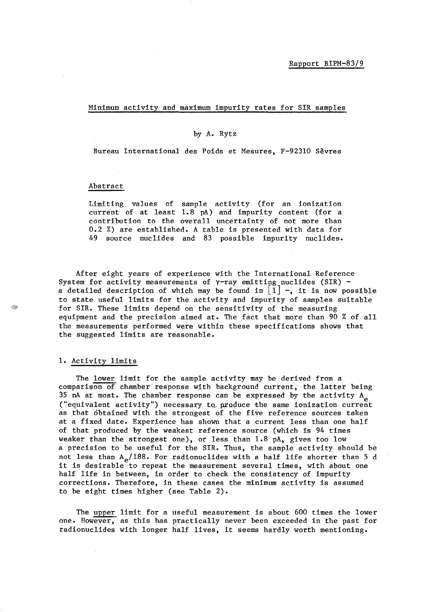#### Minimum activity and maximum impurity rates for SIR samples

### by A. Rytz

Bureau International des Poids et Mesures, F-92310 Sevres

#### Abstract

Limiting values of sample activity (for an ionization current of at least 1.8 pA) and impurity content (for a contribution to the overall uncertainty of not more than 0.2 %) are established. A table is presented with data for 49 source nuclides and 83 possible impurity nuclides.

After eight years of experience with the International Reference System for activity measurements of  $\gamma$ -ray emitting nuclides (SIR) a detailed description of which may be found in  $\begin{bmatrix} 1 \end{bmatrix}$  -, it is now possible to state useful limits for the activity and impurity of samples suitable for SIR. These limits depend on the sensitivity of the measuring equipment and the precision aimed at. The fact that more than 90 % of all the measurements performed were within these specifications shows that the suggested limits are reasonable.

#### 1. Activity limits

The lower limit for the sample activity may be derived from a comparison of chamber response with background current, the latter being  $35$  nA at most. The chamber response can be expressed by the activity  $A_e$ ("equivalent activity") necessary to produce the same ionization current as that obtained with the strongest of the five reference sources taken at a fixed date. Experience has shown that a current less than one half of that produced by the weakest reference source (which is 94 times weaker than the strongest one), or less than 1.8 pA, gives too low a precision to be useful for the SIR. Thus, the sample activity should be not less than  $A_{\rho}/188$ . For radionuclides with a half life shorter than 5 d it is desirable to repeat the measurement several times, with about one half life in between, in order to check the consistency of impurity corrections. Therefore, in these cases the minimum activity is assumed to be eight times higher (see Table 2).

The upper limit for a useful measurement is about 600 times the lower one. However, as this has practically never been exceeded in the past for radionuclides with longer half lives, it seems hardly worth mentioning.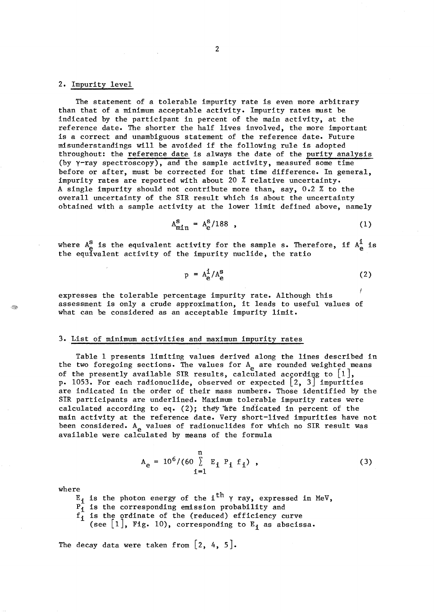#### 2. Impurity level

The statement of a tolerable impurity rate is even more arbitrary than that of a minimum acceptable activity. Impurity rates must be indicated by the participant in percent of the main activity, at the reference date. The shorter the half lives involved, the more important is a correct and unambiguous statement of the reference date. Future misunderstandings will be avoided if the following rule is adopted throughout: the reference date is always the date of the purity analysis (by y-ray spectroscopy), and the sample activity, measured some time before or after, must be corrected for that time difference. In general, impurity rates are reported with about 20 % relative uncertainty. A single impurity should not contribute more than, say, 0.2 % to the overall uncertainty of the SIR result which is about the uncertainty obtained with a sample activity at the lower limit defined above, namely

$$
A_{\min}^S = A_e^S / 188 \quad , \tag{1}
$$

where  $A^S_{\bf e}$  is the equivalent activity for the sample s. Therefore, if  $A^{\bf i}_{\bf e}$  is the equivalent activity of the impurity nuclide, the ratio

$$
p = A_{\mathbf{e}}^{\mathbf{i}} / A_{\mathbf{e}}^{\mathbf{s}} \tag{2}
$$

expresses the tolerable percentage impurity rate. Although this assessment is only a crude approximation, it leads to useful values of what can be considered as an acceptable impurity limit.

#### 3. List of minimum activities and maximum impurity rates

Table 1 presents limiting values derived along the lines described in the two foregoing sections. The values for  $A_{e}$  are rounded weighted means of the presently available SIR results, calculated according to  $[1]$ , p. 1053. For each radionuclide, observed or expected  $\begin{bmatrix} 2, 3 \end{bmatrix}$  impurities are indicated in the order of their mass numbers. Those identified by the SIR participants are underlined. Maximum tolerable impurity rates were calculated according to eq. (2); they are indicated in percent of the main activity at the reference date. Very short-lived impurities have not been considered. A<sub>e</sub> values of radionuclides for which no SIR result was available were calculated by means of the formula

$$
A_{e} = 10^{6} / (60 \sum_{i=1}^{n} E_{i} P_{i} f_{i}), \qquad (3)
$$

where

t de p

is the photon energy of the i $^{\text{th}}$   $\gamma$  ray, expressed in MeV,

is the corresponding emission probability and

is the ordinate of the (reduced) efficiency curve

(see  $\lfloor 1 \rfloor$ , Fig. 10), corresponding to E<sub>i</sub> as abscissa.

The decay data were taken from  $[2, 4, 5]$ .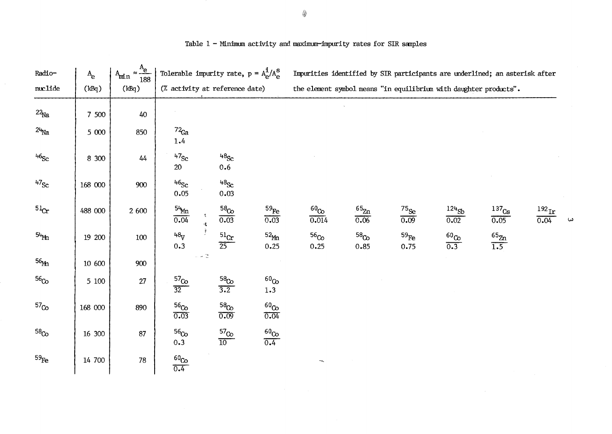| Radio-             | $A_{\rm e}$ | $\approx \frac{A_e}{A}$<br>$A_{min}$<br>188 | Tolerable impurity rate, $p = A_{\rm e}^{\rm i}/A_{\rm e}^{\rm S}$ |                            |                               |                          |                          |                                                                   |                      |                             |                           | Impurities identified by SIR participants are underlined; an asterisk after |    |
|--------------------|-------------|---------------------------------------------|--------------------------------------------------------------------|----------------------------|-------------------------------|--------------------------|--------------------------|-------------------------------------------------------------------|----------------------|-----------------------------|---------------------------|-----------------------------------------------------------------------------|----|
| muclide            | (kBq)       | (kBq)                                       | (% activity at reference date)                                     |                            |                               |                          |                          | the element symbol means "in equilibrium with daughter products". |                      |                             |                           |                                                                             |    |
| $22_{\text{Na}}$   | 7 500       | 40                                          |                                                                    |                            |                               |                          |                          |                                                                   |                      |                             |                           |                                                                             |    |
| $24$ <sub>Na</sub> | 5 000       | 850                                         | $72$ Ga<br>1.4                                                     |                            |                               |                          |                          |                                                                   |                      |                             |                           |                                                                             |    |
| 46 <sub>Sc</sub>   | 8 300       | 44                                          | $47$ Sc<br>20                                                      |                            | 48 <sub>Sc</sub><br>0.6       |                          |                          |                                                                   |                      |                             |                           |                                                                             |    |
| $47$ Sc            | 168 000     | 900                                         | 46 <sub>Sc</sub><br>0.05                                           |                            | 48 <sub>Sc</sub><br>0.03      |                          |                          |                                                                   |                      |                             |                           |                                                                             |    |
| 51 <sub>Cr</sub>   | 488 000     | 2 600                                       | $\frac{54}{0.04}$                                                  | 悍                          | 58 <sub>Co</sub><br>0.03      | $^{59}\!$ Fe<br>0.03     | $^{60}$ Co $\,$<br>0.014 | $65$ <sub>Zn</sub><br>0.06                                        | $^{75}\!$ Se<br>0.09 | $124$ <sub>Sb</sub><br>0.02 | 137 <sub>Cs</sub><br>0.05 | $^{192}\rm{Ir}$<br>0.04                                                     | ما |
| $54$ Mn            | 19 200      | $100\,$                                     | $48_V$<br>0.3                                                      |                            | $^{51}$ Cr<br>$\overline{25}$ | 52 <sub>Mn</sub><br>0.25 | 56 <sub>Co</sub><br>0.25 | 58 <sub>Co</sub><br>0.85                                          | $^{59}$ Fe<br>0.75   | $\frac{60}{0.3}$            | $\frac{65}{1.5}$          |                                                                             |    |
| 56 <sub>Mn</sub>   | 10 600      | 900                                         |                                                                    | $\sim$ $\sim$ $\mathbb{C}$ |                               |                          |                          |                                                                   |                      |                             |                           |                                                                             |    |
| 56 <sub>Co</sub>   | $5\,$ $100$ | 27                                          | $\frac{57}{32}$                                                    |                            | $\frac{58}{3.2}$              | 60 <sub>Co</sub><br>1.3  |                          |                                                                   |                      |                             |                           |                                                                             |    |
| 57 <sub>Co</sub>   | 168 000     | 890                                         | 56 <sub>Co</sub><br>0.03                                           |                            | 58 <sub>Co</sub><br>0.09      | $^{60}$ Co $\,$<br>0.04  |                          |                                                                   |                      |                             |                           |                                                                             |    |
| 58 <sub>Co</sub>   | 16 300      | 87                                          | 56 <sub>Co</sub><br>0.3                                            |                            | $\frac{57}{10}$               | $\frac{60}{0.4}$         |                          |                                                                   |                      |                             |                           |                                                                             |    |
| $^{59}\!$ Fe       | 14 700      | 78                                          | $\frac{60}{0.4}$                                                   |                            |                               |                          |                          |                                                                   |                      |                             |                           |                                                                             |    |

Table - Minimum activity and maximum-impurity rates for SIR samples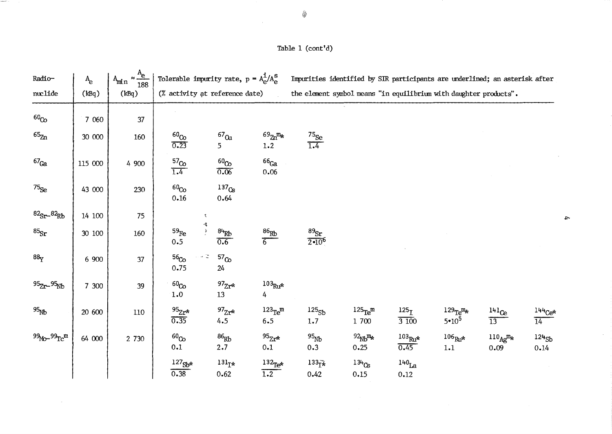| Radio-                        | $A_{\rm e}$ | $\approx \frac{A_e}{188}$<br>A <sub>min</sub> |                                      | Tolerable impurity rate, $p = A_e^{\dot{1}}/A_e^{\rm S}$ |                                         | Impurities identified by SIR participants are underlined; an asterisk after |                                                        |                                       |                                                 |                                                |                             |
|-------------------------------|-------------|-----------------------------------------------|--------------------------------------|----------------------------------------------------------|-----------------------------------------|-----------------------------------------------------------------------------|--------------------------------------------------------|---------------------------------------|-------------------------------------------------|------------------------------------------------|-----------------------------|
| nuclide                       | (kBq)       | (kBq)                                         |                                      | (% activity at reference date)                           |                                         | the element symbol means "in equilibrium with daughter products".           |                                                        |                                       |                                                 |                                                |                             |
| 60 <sub>Co</sub>              | 7 0 6 0     | 37                                            |                                      |                                                          |                                         |                                                                             |                                                        |                                       |                                                 |                                                |                             |
| $65\frac{m}{2}$               | 30 000      | 160                                           | 60 <sub>Co</sub><br>0.23             | $^{67}$ $\rm Cu$<br>5                                    | $^{69}$ Zn <sup>m</sup> *<br>1.2        | $\frac{75}{1.4}$                                                            |                                                        |                                       |                                                 |                                                |                             |
| ${}^{67}$ Ga                  | 115 000     | 4 900                                         | 57 <sub>Co</sub><br>$\overline{1.4}$ | $^{60}$ Co<br>0.06                                       | 66 <sub>Ga</sub><br>0.06                |                                                                             |                                                        |                                       |                                                 |                                                |                             |
| $75_{Se}$                     | 43 000      | 230                                           | 60 <sub>Co</sub><br>0.16             | $137$ <sub>Cs</sub><br>0.64                              |                                         |                                                                             |                                                        |                                       |                                                 |                                                |                             |
| ${}^{82}Sr - {}^{82}Rb$       | 14 100      | 75                                            |                                      | $\mathcal{R}$                                            |                                         |                                                                             |                                                        |                                       |                                                 |                                                |                             |
| $^{85}$ Sr                    | 30 100      | 160                                           | $^{59}\!$ Fe<br>0.5                  | 希望<br>84Rb<br>$\overline{0.6}$                           | $\frac{86}{B}$                          | $\frac{89}{2 \cdot 10^6}$                                                   |                                                        |                                       |                                                 |                                                |                             |
| 88 <sub>y</sub>               | 6 900       | 37                                            | 56 <sub>Co</sub><br>0.75             | 57 <sub>Co</sub><br>24                                   |                                         |                                                                             |                                                        |                                       |                                                 |                                                |                             |
| 95 <sub>Zr-95Nb</sub>         | 7 300       | 39                                            | 60 <sub>Co</sub><br>1.0              | $97$ <sub>Zr*</sub><br>13                                | $103Ru*$<br>4                           |                                                                             |                                                        |                                       |                                                 |                                                |                             |
| 95 <sub>Nb</sub>              | 20 600      | 110                                           | $95Zr*$<br>0.35                      | $^{97}Zr^*$<br>4.5                                       | $123$ <sub>Te</sub> <sup>m</sup><br>6.5 | $125_{Sb}$<br>1.7                                                           | $125Te$ m<br>1 700                                     | 125 <sub>I</sub><br>$\overline{3100}$ | $129$ Te <sup>m</sup> $\star$<br>$5 \cdot 10^5$ | $^{141}$ Ce<br>$\overline{13}$                 | $144Ce*$<br>$\overline{14}$ |
| $99$ Mo- $99$ Tc <sup>m</sup> | 64 000      | 2 730                                         | 60 <sub>Co</sub><br>0.1              | $^{86}\!{\rm{Rb}}$<br>2.7                                | $^{95}Zr*$<br>0.1                       | $^{95}$ <sub>Nb</sub><br>0.3                                                | $^{92}$ <sub>Nb</sub> <sup>m<sub>*</sub></sup><br>0.25 | $^{103}\mbox{Ru*}$<br>0.45            | $^{106}\mbox{Ru*}$<br>$1.1\,$                   | $110_{\text{Ag}}$ <sup>m</sup> $\star$<br>0.09 | $124$ <sub>Sb</sub><br>0.14 |
|                               |             |                                               | $127$ <sub>Sb*</sub><br>0.38         | $131_{\mathbf{I*}}$<br>0.62                              | $132$ <sub>Te*</sub><br>1.2             | $133\bar{1}$<br>0.42                                                        | $134$ <sub>Cs</sub><br>0.15                            | 140 <sub>La</sub><br>0.12             |                                                 |                                                |                             |

 $\blacktriangle$ 

 $\sim 10^6$ 

Table 1 (cont'd)

 $\mathcal{L}$ 

 $\begin{aligned} \mathcal{L}_{\mathcal{M}}(\mathcal{M}_{\mathcal{M}}(\mathcal{M}_{\mathcal{M}}(\mathcal{M}_{\mathcal{M}}(\mathcal{M}_{\mathcal{M}}(\mathcal{M})))\times \mathcal{L}_{\mathcal{M}}(\mathcal{M}_{\mathcal{M}}(\mathcal{M}_{\mathcal{M}}(\mathcal{M})))\times \mathcal{L}_{\mathcal{M}}(\mathcal{M}_{\mathcal{M}}(\mathcal{M}_{\mathcal{M}}(\mathcal{M})))\times \mathcal{L}_{\mathcal{M}}(\mathcal{M}_{\mathcal{M}}(\mathcal{M})))\times \mathcal{L}_{\mathcal{M}}(\mathcal{M}_{\mathcal{M$ 

 $\sim 10^{-1}$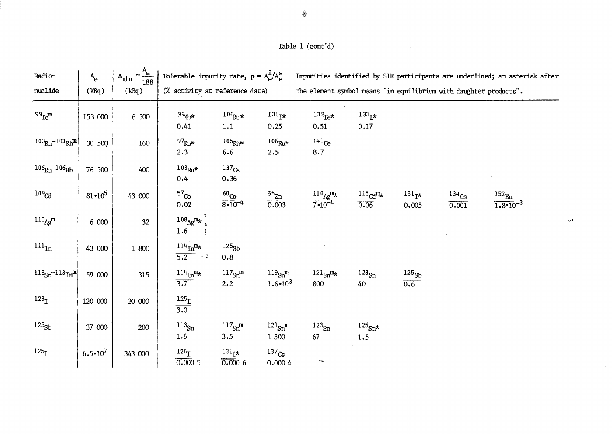## Table 1 (cont'd)

| Radio-                                | $A_{\rm e}$       | $A_{\min} \approx \frac{A_e}{188}$ | Tolerable impurity rate, $p = A_{\rho}^{\perp}/A_{\rho}^{\rm S}$ |                                  |                                 |                                                                   |                                           |                            |                              | Impurities identified by SIR participants are underlined; an asterisk after |  |
|---------------------------------------|-------------------|------------------------------------|------------------------------------------------------------------|----------------------------------|---------------------------------|-------------------------------------------------------------------|-------------------------------------------|----------------------------|------------------------------|-----------------------------------------------------------------------------|--|
| nuclide                               | (kBq)             | (kBq)                              | (% activity at reference date)                                   |                                  |                                 | the element symbol means "in equilibrium with daughter products". |                                           |                            |                              |                                                                             |  |
| $99_T$ $m$                            | 153 000           | 6 500                              | $99M0*$<br>0.41                                                  | $106Ru*$<br>1.1                  | 131 <sub>I</sub><br>0.25        | $^{132}$ Te*<br>0.51                                              | $133_{\text{T}}*$<br>0.17                 |                            |                              |                                                                             |  |
| $103_{\text{Ru}} - 103_{\text{Rh}}$ m | 30 500            | 160                                | $97_{\text{Ru}}$ *<br>2.3                                        | $105Rh*$<br>6.6                  | $106$ Ru*<br>2.5                | 141 <sub>Ce</sub><br>8.7                                          |                                           |                            |                              |                                                                             |  |
| $106_{Ru} - 106_{Rh}$                 | 76 500            | 400                                | $103$ Ru*<br>0.4                                                 | 137 <sub>Cs</sub><br>0.36        |                                 |                                                                   |                                           |                            |                              |                                                                             |  |
| 109 <sub>Cd</sub>                     | $81 \cdot 10^{5}$ | 43 000                             | 57 <sub>Co</sub><br>0.02                                         | $^{60}$ Co<br>$8 - 10^{-4}$      | $65\%$<br>0.003                 | $\frac{110_{Ag}m_{*}}{7\cdot10^{-4}}$                             | $^{115}$ $\text{Cd}^{\text{m}}$ *<br>0.06 | $131_{\text{T}}*$<br>0.005 | $134$ <sub>Cs</sub><br>0.001 | $^{152}\!$ Eu<br>$1.8 \cdot 10^{-3}$                                        |  |
| $110_{Ag}m$                           | 6 000             | 32                                 | $108_{Agm}$ $\frac{108}{3}$<br>1.6                               |                                  |                                 |                                                                   |                                           |                            |                              |                                                                             |  |
| $\ln_{\text{In}}$                     | 43 000            | $1\,$ 800 $\,$                     | $114 \text{m}^m$<br>$5.2 - 3$                                    | 125 <sub>Sb</sub><br>0.8         |                                 |                                                                   |                                           |                            |                              |                                                                             |  |
| $113_{Sn} - 113_{In}$ <sup>m</sup>    | 59 000            | 315                                | $^{114}\mathrm{In}^{\mathrm{m}_\mathrm{\star}}$<br>3.7           | $117Sn$ m<br>2.2                 | $119_{Sn}m$<br>$1.6 \cdot 10^3$ | $^{121}Sn^{m}$<br>800                                             | $123_{\text{Sn}}$<br>40                   | 125 <sub>Sb</sub><br>0.6   |                              |                                                                             |  |
| 123 <sub>T</sub>                      | 120 000           | 20 000                             | $^{125}\!\mathrm{I}$<br>$\overline{3.0}$                         |                                  |                                 |                                                                   |                                           |                            |                              |                                                                             |  |
| 125 <sub>Sb</sub>                     | 37 000            | 200                                | $^{113}\!$ Sn<br>1.6                                             | 117 <sub>Sn</sub> m<br>3.5       | $^{121}Sn^m$<br>1 300           | $123_{\text{Sn}}$<br>67                                           | $^{125}\!\rm{Sn}^{\star}$<br>1.5          |                            |                              |                                                                             |  |
| 125 <sub>I</sub>                      | $6.5 \cdot 10^7$  | 343 000                            | $^{126}\!\mathrm{I}$<br>0.0005                                   | $^{131}$ <sub>I*</sub><br>0.0006 | 137 <sub>Cs</sub><br>0.0004     |                                                                   |                                           |                            |                              |                                                                             |  |

 $\overline{\mathsf{U}}$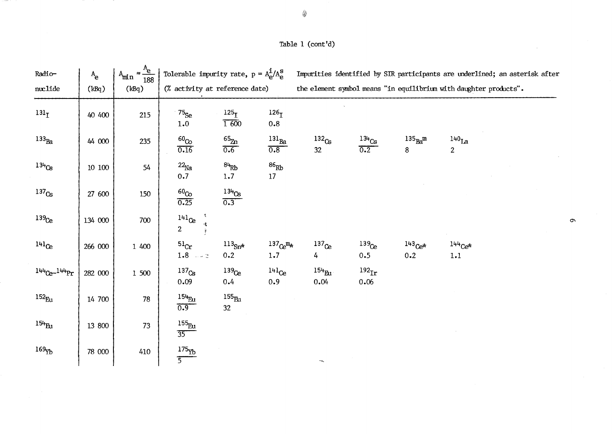# Table 1 (cont'd)

| Radio-              | $A_{\rm e}$    | $A_{\min} \approx \frac{A_e}{188}$ | Tolerable impurity rate, $p = A_{\alpha}^{\mathbf{i}}/A_{\alpha}^{\mathbf{S}}$ |                           |                          | Impurities identified by SIR participants are underlined; an asterisk after |                             |                    |                            |  |
|---------------------|----------------|------------------------------------|--------------------------------------------------------------------------------|---------------------------|--------------------------|-----------------------------------------------------------------------------|-----------------------------|--------------------|----------------------------|--|
| nuclide             | (kBq)          | (kBq)                              | (% activity at reference date)                                                 |                           |                          | the element symbol means "in equilibrium with daughter products".           |                             |                    |                            |  |
| 131 <sub>T</sub>    | 40 400         | 215                                | $75$ Se<br>1.0                                                                 | 125 <sub>T</sub><br>1 600 | 126 <sub>T</sub><br>0.8  |                                                                             |                             |                    |                            |  |
| $133_{\text{Ba}}$   | 44 000         | 235                                | 60 <sub>Co</sub><br>0.16                                                       | $\mathrm{^{65}Zn}$<br>0.6 | $^{131}$ Ba<br>0.8       | $132_{Cs}$<br>32                                                            | $^{134}\mathrm{Cs}$<br>0.2  | $135_{Ba}$ m<br>8  | $140$ La<br>$\overline{2}$ |  |
| $134$ <sub>Cs</sub> | $10\,$ $100\,$ | 54                                 | $22_{\text{Na}}$<br>0.7                                                        | $84$ <sub>Rb</sub><br>1.7 | $^{86}\mathrm{Rb}$<br>17 |                                                                             |                             |                    |                            |  |
| 137 <sub>Cs</sub>   | 27 600         | 150                                | $^{60}$ co<br>0.25                                                             | $\frac{134}{0.3}$         |                          |                                                                             |                             |                    |                            |  |
| 139 <sub>Ce</sub>   | 134 000        | 700                                | $^{141}$ Ce<br>$\overline{2}$                                                  |                           |                          |                                                                             |                             |                    |                            |  |
| $141_{C}$           | 266 000        | 1 400                              | $^{51}$ Cr<br>1.8 $-2$                                                         | $^{113}$ Sn*<br>0.2       | $137 e^{m_{*}}$<br>1.7   | $137$ <sub>Ce</sub><br>4                                                    | $139$ Ce<br>0.5             | $143Ce^{*}$<br>0.2 | $144Ce^{*}$<br>1.1         |  |
| $144Ce^{-144}$ Pr   | 282 000        | 1 500                              | 137 <sub>Cs</sub><br>0.09                                                      | 139 <sub>Ce</sub><br>0.4  | 141 <sub>Ce</sub><br>0.9 | $154_{\text{Eu}}$<br>0.04                                                   | $192$ <sub>Ir</sub><br>0.06 |                    |                            |  |
| $152_{\rm Eu}$      | 14 700         | 78                                 | $154\text{Eu}$<br>0.9                                                          | $^{155}\!$ Eu<br>32       |                          |                                                                             |                             |                    |                            |  |
| $154_{\text{Eu}}$   | 13 800         | 73                                 | 155 <sub>Eu</sub><br>$\overline{35}$                                           |                           |                          |                                                                             |                             |                    |                            |  |
| 169                 | 78 000         | 410                                | $175\rm{Yb}$<br>$\overline{5}$                                                 |                           |                          | ™eg                                                                         |                             |                    |                            |  |

 $\bullet$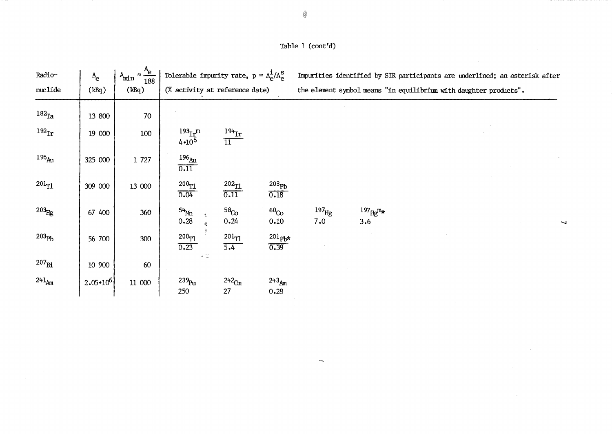## Table 1 (cont'd)

| Radio-            | $A_{\rm e}$       | $\approx \frac{\text{A}_{\text{e}}}{188}$<br>$A_{min}$ | Tolerable impurity rate, $p = A_{\alpha}^{\mathbf{i}}/A_{\alpha}^{\mathbf{S}}$ |                                |                              |                          |                                 | Impurities identified by SIR participants are underlined; an asterisk after |  |
|-------------------|-------------------|--------------------------------------------------------|--------------------------------------------------------------------------------|--------------------------------|------------------------------|--------------------------|---------------------------------|-----------------------------------------------------------------------------|--|
| nuclide           | (kBq)             | (kBq)                                                  | (% activity at reference date)                                                 |                                |                              |                          |                                 | the element symbol means "in equilibrium with daughter products".           |  |
| $182$ Ta          | 13 800            | 70                                                     |                                                                                |                                |                              |                          |                                 |                                                                             |  |
| 192 <sub>Ir</sub> | 19 000            | 100                                                    | $193$ <sub>Ir</sub> <sup>m</sup><br>$4 \cdot 10^5$                             | $^{194}$ Ir<br>$\overline{11}$ |                              |                          |                                 |                                                                             |  |
| $195_{\rm Au}$    | 325 000           | 1 727                                                  | $^{196}\!_{\text{Au}}$<br>0.11                                                 |                                |                              |                          |                                 |                                                                             |  |
| $201_{T1}$        | 309 000           | 13 000                                                 | 200 <sub>T1</sub><br>0.04                                                      | $202$ TI<br>0.11               | 203 <sub>Pb</sub><br>0.18    |                          |                                 |                                                                             |  |
| $203_{\text{Hg}}$ | 67 400            | 360                                                    | 54Mm<br>0.28                                                                   | 58 <sub>Co</sub><br>0.24       | 60 <sub>Co</sub><br>0.10     | 197 <sub>Hg</sub><br>7.0 | $^{197}$ Hg $^{\rm m}$ *<br>3.6 |                                                                             |  |
| 203 <sub>Pb</sub> | 56 700            | 300                                                    | 200 <sub>TI</sub><br>0.23                                                      | $^{201}\! \rm{TL}$<br>5.4      | $201$ <sub>Pb*</sub><br>0.39 |                          |                                 |                                                                             |  |
| $207_{\rm B1}$    | 10 900            | 60                                                     | 计分位                                                                            |                                |                              |                          |                                 |                                                                             |  |
| $241_{Am}$        | $2.05 \cdot 10^6$ | 11 000                                                 | 239 <sub>Pu</sub><br>250                                                       | $242$ Cm<br>27                 | $243_{Am}$<br>0.28           |                          |                                 |                                                                             |  |

 $\mathbb{L}_{\mathfrak{A}_\mathbf{K}}$ 

 $\sim$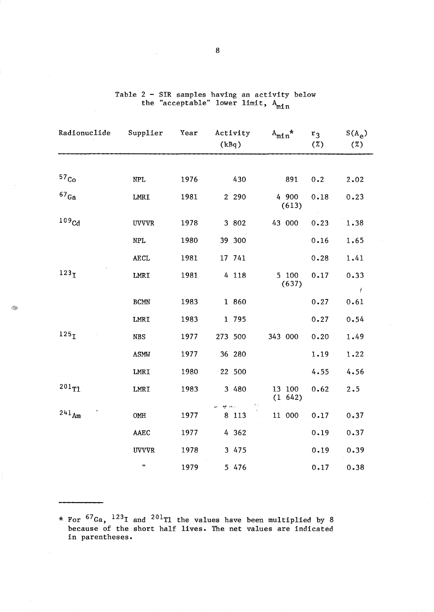| Radionuclide       | Supplier                  | Year | Activity<br>(kBq)                    | $A_{\text{min}}$ * | r <sub>3</sub><br>(%) | $S(A_{\rm e})$<br>(%) |
|--------------------|---------------------------|------|--------------------------------------|--------------------|-----------------------|-----------------------|
|                    |                           |      |                                      |                    |                       |                       |
| 57 <sub>Co</sub>   | $\ensuremath{\text{NPL}}$ | 1976 | 430                                  | 891                | 0.2                   | 2.02                  |
| $^{67}\mathrm{Ga}$ | ${\tt LMRI}$              | 1981 | 2 2 9 0                              | 4 900<br>(613)     | 0.18                  | 0.23                  |
| 109 <sub>cd</sub>  | <b>UVVVR</b>              | 1978 | 3 802                                | 43 000             | 0.23                  | 1.38                  |
|                    | <b>NPL</b>                | 1980 | 39.300                               |                    | 0.16                  | 1.65                  |
|                    | <b>AECL</b>               | 1981 | 17 741                               |                    | 0.28                  | 1.41                  |
| 123 <sub>T</sub>   | LMRI                      | 1981 | 4 118                                | 5 100<br>(637)     | 0.17                  | 0.33                  |
|                    | $\operatorname{BCMN}$     | 1983 | 1 860                                |                    | 0.27                  | ť<br>0.61             |
|                    | LMRI                      | 1983 | 1 795                                |                    | 0.27                  | 0.54                  |
| 125 <sub>T</sub>   | <b>NBS</b>                | 1977 | 273 500                              | 343 000            | 0.20                  | 1.49                  |
|                    | <b>ASMW</b>               | 1977 | 36 280                               |                    | 1.19                  | 1.22                  |
|                    | LMRI                      | 1980 | 22 500                               |                    | 4.55                  | 4.56                  |
| $201_{T1}$         | LMRI                      | 1983 | 3 480                                | 13 100<br>(1 642)  | 0.62                  | 2.5                   |
| $241_{Am}$         | OMH                       | 1977 | 23<br>er mis<br>8 1 1 3<br>$\bar{z}$ | 11 000             | 0.17                  | 0.37                  |
|                    | <b>AAEC</b>               | 1977 | 4 362                                |                    | 0.19                  | 0.37                  |
|                    | <b>UVVVR</b>              | 1978 | 3 475                                |                    | 0.19                  | 0.39                  |
|                    | $\pmb{\mathfrak{v}}$      | 1979 | 5 476                                |                    | 0.17                  | 0.38                  |

Î.

Table 2 - SIR samples having an activity below the "acceptable" lower limit, A<sub>min</sub>

\* For  $^{67}$ Ga,  $^{123}$ I and  $^{201}$ Tl the values have been multiplied by  $8$ because of the short half lives. The net values are indicated in parentheses.

8